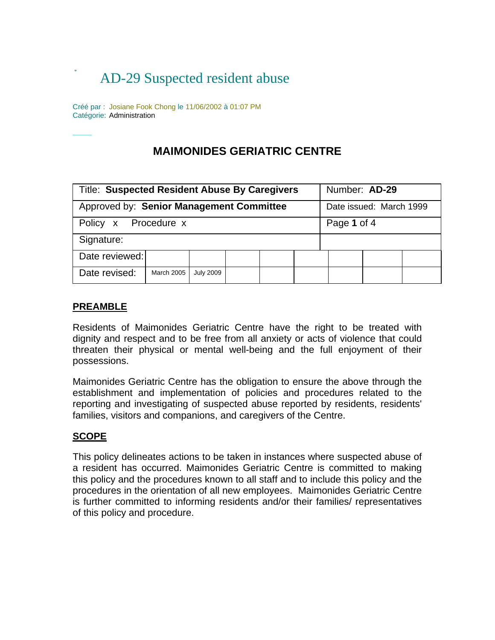# AD-29 Suspected resident abuse

Créé par : Josiane Fook Chong le 11/06/2002 à 01:07 PM Catégorie: Administration

# **MAIMONIDES GERIATRIC CENTRE**

| Title: Suspected Resident Abuse By Caregivers |                   |                  |  |  |  | Number: AD-29           |  |  |
|-----------------------------------------------|-------------------|------------------|--|--|--|-------------------------|--|--|
| Approved by: Senior Management Committee      |                   |                  |  |  |  | Date issued: March 1999 |  |  |
| Policy x Procedure x                          |                   |                  |  |  |  | Page 1 of 4             |  |  |
| Signature:                                    |                   |                  |  |  |  |                         |  |  |
| Date reviewed:                                |                   |                  |  |  |  |                         |  |  |
| Date revised:                                 | <b>March 2005</b> | <b>July 2009</b> |  |  |  |                         |  |  |

#### **PREAMBLE**

Residents of Maimonides Geriatric Centre have the right to be treated with dignity and respect and to be free from all anxiety or acts of violence that could threaten their physical or mental well-being and the full enjoyment of their possessions.

Maimonides Geriatric Centre has the obligation to ensure the above through the establishment and implementation of policies and procedures related to the reporting and investigating of suspected abuse reported by residents, residents' families, visitors and companions, and caregivers of the Centre.

#### **SCOPE**

This policy delineates actions to be taken in instances where suspected abuse of a resident has occurred. Maimonides Geriatric Centre is committed to making this policy and the procedures known to all staff and to include this policy and the procedures in the orientation of all new employees. Maimonides Geriatric Centre is further committed to informing residents and/or their families/ representatives of this policy and procedure.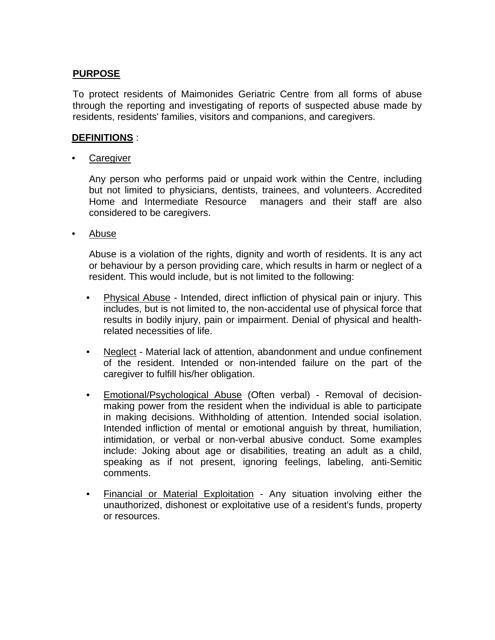### **PURPOSE**

To protect residents of Maimonides Geriatric Centre from all forms of abuse through the reporting and investigating of reports of suspected abuse made by residents, residents' families, visitors and companions, and caregivers.

#### **DEFINITIONS** :

**Caregiver** 

 Any person who performs paid or unpaid work within the Centre, including but not limited to physicians, dentists, trainees, and volunteers. Accredited Home and Intermediate Resource managers and their staff are also considered to be caregivers.

• Abuse

 Abuse is a violation of the rights, dignity and worth of residents. It is any act or behaviour by a person providing care, which results in harm or neglect of a resident. This would include, but is not limited to the following:

- Physical Abuse Intended, direct infliction of physical pain or injury. This includes, but is not limited to, the non-accidental use of physical force that results in bodily injury, pain or impairment. Denial of physical and healthrelated necessities of life.
- Neglect Material lack of attention, abandonment and undue confinement of the resident. Intended or non-intended failure on the part of the caregiver to fulfill his/her obligation.
- Emotional/Psychological Abuse (Often verbal) Removal of decisionmaking power from the resident when the individual is able to participate in making decisions. Withholding of attention. Intended social isolation. Intended infliction of mental or emotional anguish by threat, humiliation, intimidation, or verbal or non-verbal abusive conduct. Some examples include: Joking about age or disabilities, treating an adult as a child, speaking as if not present, ignoring feelings, labeling, anti-Semitic comments.
- Financial or Material Exploitation Any situation involving either the unauthorized, dishonest or exploitative use of a resident's funds, property or resources.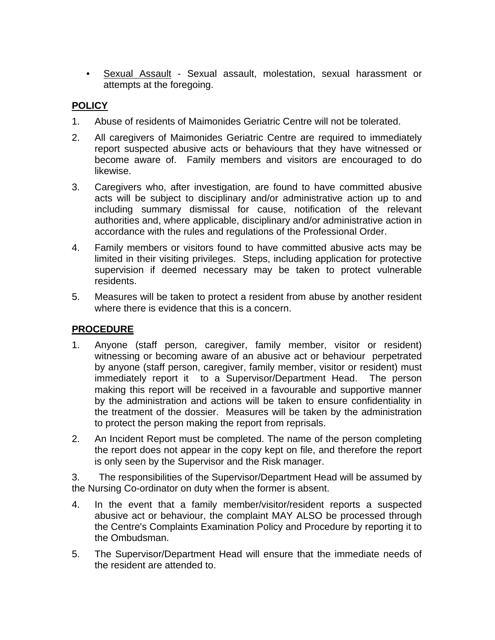• Sexual Assault - Sexual assault, molestation, sexual harassment or attempts at the foregoing.

# **POLICY**

- 1. Abuse of residents of Maimonides Geriatric Centre will not be tolerated.
- 2. All caregivers of Maimonides Geriatric Centre are required to immediately report suspected abusive acts or behaviours that they have witnessed or become aware of. Family members and visitors are encouraged to do likewise.
- 3. Caregivers who, after investigation, are found to have committed abusive acts will be subject to disciplinary and/or administrative action up to and including summary dismissal for cause, notification of the relevant authorities and, where applicable, disciplinary and/or administrative action in accordance with the rules and regulations of the Professional Order.
- 4. Family members or visitors found to have committed abusive acts may be limited in their visiting privileges. Steps, including application for protective supervision if deemed necessary may be taken to protect vulnerable residents.
- 5. Measures will be taken to protect a resident from abuse by another resident where there is evidence that this is a concern.

## **PROCEDURE**

- 1. Anyone (staff person, caregiver, family member, visitor or resident) witnessing or becoming aware of an abusive act or behaviour perpetrated by anyone (staff person, caregiver, family member, visitor or resident) must immediately report it to a Supervisor/Department Head. The person making this report will be received in a favourable and supportive manner by the administration and actions will be taken to ensure confidentiality in the treatment of the dossier. Measures will be taken by the administration to protect the person making the report from reprisals.
- 2. An Incident Report must be completed. The name of the person completing the report does not appear in the copy kept on file, and therefore the report is only seen by the Supervisor and the Risk manager.

3. The responsibilities of the Supervisor/Department Head will be assumed by the Nursing Co-ordinator on duty when the former is absent.

- 4. In the event that a family member/visitor/resident reports a suspected abusive act or behaviour, the complaint MAY ALSO be processed through the Centre's Complaints Examination Policy and Procedure by reporting it to the Ombudsman.
- 5. The Supervisor/Department Head will ensure that the immediate needs of the resident are attended to.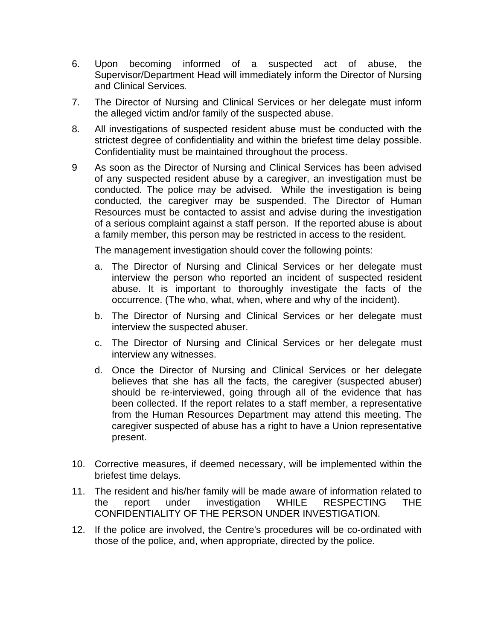- 6. Upon becoming informed of a suspected act of abuse, the Supervisor/Department Head will immediately inform the Director of Nursing and Clinical Services.
- 7. The Director of Nursing and Clinical Services or her delegate must inform the alleged victim and/or family of the suspected abuse.
- 8. All investigations of suspected resident abuse must be conducted with the strictest degree of confidentiality and within the briefest time delay possible. Confidentiality must be maintained throughout the process.
- 9 As soon as the Director of Nursing and Clinical Services has been advised of any suspected resident abuse by a caregiver, an investigation must be conducted. The police may be advised. While the investigation is being conducted, the caregiver may be suspended. The Director of Human Resources must be contacted to assist and advise during the investigation of a serious complaint against a staff person. If the reported abuse is about a family member, this person may be restricted in access to the resident.

The management investigation should cover the following points:

- a. The Director of Nursing and Clinical Services or her delegate must interview the person who reported an incident of suspected resident abuse. It is important to thoroughly investigate the facts of the occurrence. (The who, what, when, where and why of the incident).
- b. The Director of Nursing and Clinical Services or her delegate must interview the suspected abuser.
- c. The Director of Nursing and Clinical Services or her delegate must interview any witnesses.
- d. Once the Director of Nursing and Clinical Services or her delegate believes that she has all the facts, the caregiver (suspected abuser) should be re-interviewed, going through all of the evidence that has been collected. If the report relates to a staff member, a representative from the Human Resources Department may attend this meeting. The caregiver suspected of abuse has a right to have a Union representative present.
- 10. Corrective measures, if deemed necessary, will be implemented within the briefest time delays.
- 11. The resident and his/her family will be made aware of information related to the report under investigation WHILE RESPECTING THE CONFIDENTIALITY OF THE PERSON UNDER INVESTIGATION.
- 12. If the police are involved, the Centre's procedures will be co-ordinated with those of the police, and, when appropriate, directed by the police.